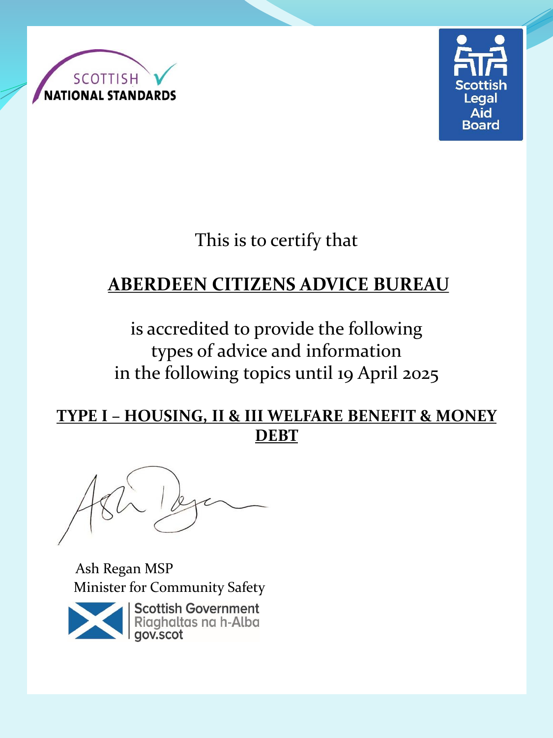



This is to certify that

# **ABERDEEN CITIZENS ADVICE BUREAU**

is accredited to provide the following types of advice and information in the following topics until 19 April 2025

#### **TYPE I – HOUSING, II & III WELFARE BENEFIT & MONEY DEBT**

Ash Regan MSP Minister for Community Safety



**Scottish Government** Riaghaltas na h-Alba gov.scot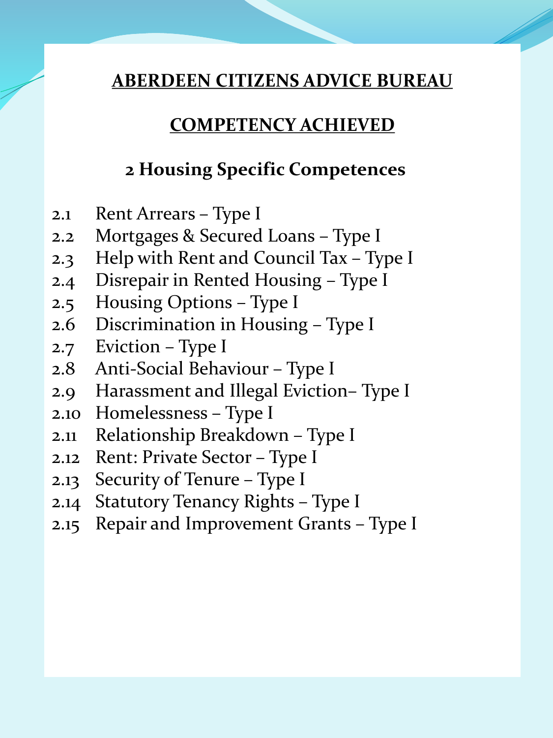### **COMPETENCY ACHIEVED**

## **2 Housing Specific Competences**

- 2.1 Rent Arrears Type I
- 2.2 Mortgages & Secured Loans Type I
- 2.3 Help with Rent and Council Tax Type I
- 2.4 Disrepair in Rented Housing Type I
- 2.5 Housing Options Type I
- 2.6 Discrimination in Housing Type I
- 2.7 Eviction Type I
- 2.8 Anti-Social Behaviour Type I
- 2.9 Harassment and Illegal Eviction– Type I
- 2.10 Homelessness Type I
- 2.11 Relationship Breakdown Type I
- 2.12 Rent: Private Sector Type I
- 2.13 Security of Tenure Type I
- 2.14 Statutory Tenancy Rights Type I
- 2.15 Repair and Improvement Grants Type I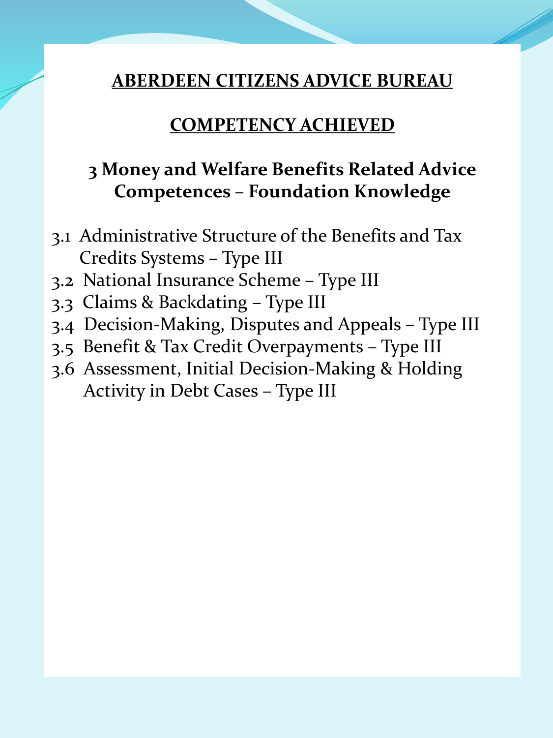#### **COMPETENCY ACHIEVED**

# **3 Money and Welfare Benefits Related Advice Competences – Foundation Knowledge**

- 3.1 Administrative Structure of the Benefits and Tax Credits Systems – Type III
- 3.2 National Insurance Scheme Type III
- 3.3 Claims & Backdating Type III
- 3.4 Decision-Making, Disputes and Appeals Type III
- 3.5 Benefit & Tax Credit Overpayments Type III
- 3.6 Assessment, Initial Decision-Making & Holding Activity in Debt Cases – Type III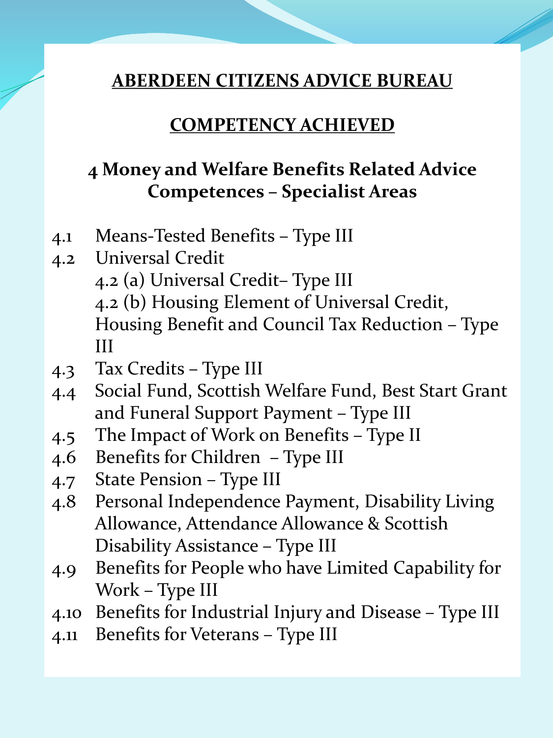#### **COMPETENCY ACHIEVED**

## **4 Money and Welfare Benefits Related Advice Competences – Specialist Areas**

- 4.1 Means-Tested Benefits Type III
- 4.2 Universal Credit 4.2 (a) Universal Credit– Type III 4.2 (b) Housing Element of Universal Credit, Housing Benefit and Council Tax Reduction – Type III
- 4.3 Tax Credits Type III
- 4.4 Social Fund, Scottish Welfare Fund, Best Start Grant and Funeral Support Payment – Type III
- 4.5 The Impact of Work on Benefits Type II
- 4.6 Benefits for Children Type III
- 4.7 State Pension Type III
- 4.8 Personal Independence Payment, Disability Living Allowance, Attendance Allowance & Scottish Disability Assistance – Type III
- 4.9 Benefits for People who have Limited Capability for Work – Type III
- 4.10 Benefits for Industrial Injury and Disease Type III
- 4.11 Benefits for Veterans Type III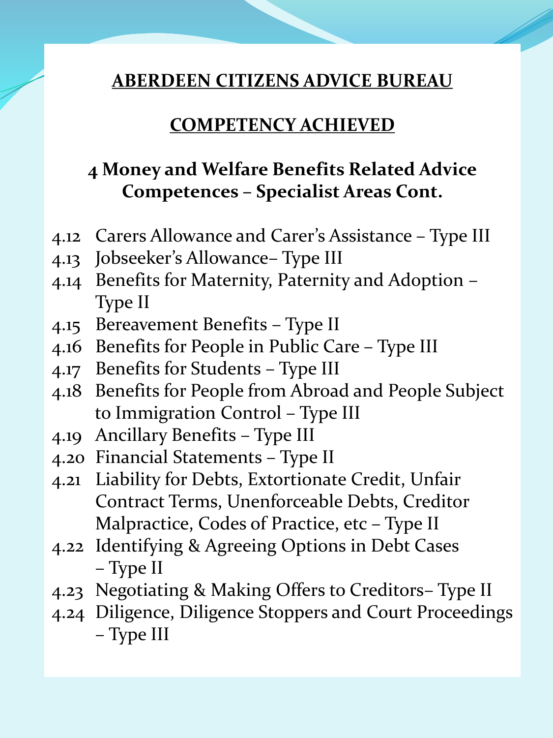#### **COMPETENCY ACHIEVED**

# **4 Money and Welfare Benefits Related Advice Competences – Specialist Areas Cont.**

- 4.12 Carers Allowance and Carer's Assistance Type III
- 4.13 Jobseeker's Allowance– Type III
- 4.14 Benefits for Maternity, Paternity and Adoption Type II
- 4.15 Bereavement Benefits Type II
- 4.16 Benefits for People in Public Care Type III
- 4.17 Benefits for Students Type III
- 4.18 Benefits for People from Abroad and People Subject to Immigration Control – Type III
- 4.19 Ancillary Benefits Type III
- 4.20 Financial Statements Type II
- 4.21 Liability for Debts, Extortionate Credit, Unfair Contract Terms, Unenforceable Debts, Creditor Malpractice, Codes of Practice, etc – Type II
- 4.22 Identifying & Agreeing Options in Debt Cases – Type II
- 4.23 Negotiating & Making Offers to Creditors– Type II
- 4.24 Diligence, Diligence Stoppers and Court Proceedings – Type III